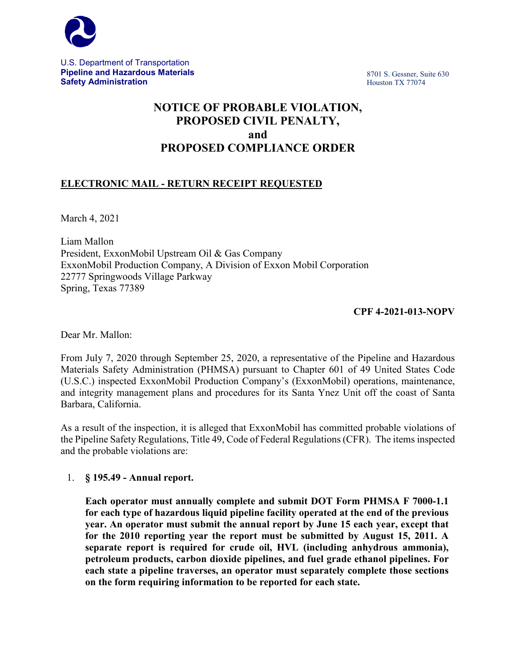

U.S. Department of Transportation **Pipeline and Hazardous Materials Safety Administration**

8701 S. Gessner, Suite 630 Houston TX 77074

# **NOTICE OF PROBABLE VIOLATION, PROPOSED CIVIL PENALTY, and PROPOSED COMPLIANCE ORDER**

# **ELECTRONIC MAIL - RETURN RECEIPT REQUESTED**

March 4, 2021

Liam Mallon President, ExxonMobil Upstream Oil & Gas Company ExxonMobil Production Company, A Division of Exxon Mobil Corporation 22777 Springwoods Village Parkway Spring, Texas 77389

# **CPF 4-2021-013-NOPV**

Dear Mr. Mallon:

From July 7, 2020 through September 25, 2020, a representative of the Pipeline and Hazardous Materials Safety Administration (PHMSA) pursuant to Chapter 601 of 49 United States Code (U.S.C.) inspected ExxonMobil Production Company's (ExxonMobil) operations, maintenance, and integrity management plans and procedures for its Santa Ynez Unit off the coast of Santa Barbara, California.

As a result of the inspection, it is alleged that ExxonMobil has committed probable violations of the Pipeline Safety Regulations, Title 49, Code of Federal Regulations (CFR). The items inspected and the probable violations are:

## 1. **§ 195.49 - Annual report.**

**Each operator must annually complete and submit DOT Form PHMSA F 7000-1.1 for each type of hazardous liquid pipeline facility operated at the end of the previous year. An operator must submit the annual report by June 15 each year, except that for the 2010 reporting year the report must be submitted by August 15, 2011. A separate report is required for crude oil, HVL (including anhydrous ammonia), petroleum products, carbon dioxide pipelines, and fuel grade ethanol pipelines. For each state a pipeline traverses, an operator must separately complete those sections on the form requiring information to be reported for each state.**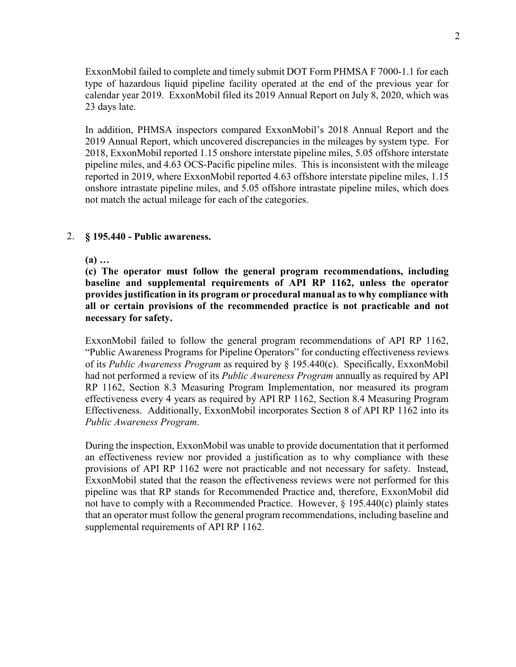ExxonMobil failed to complete and timely submit DOT Form PHMSA F 7000-1.1 for each type of hazardous liquid pipeline facility operated at the end of the previous year for calendar year 2019. ExxonMobil filed its 2019 Annual Report on July 8, 2020, which was 23 days late.

In addition, PHMSA inspectors compared ExxonMobil's 2018 Annual Report and the 2019 Annual Report, which uncovered discrepancies in the mileages by system type. For 2018, ExxonMobil reported 1.15 onshore interstate pipeline miles, 5.05 offshore interstate pipeline miles, and 4.63 OCS-Pacific pipeline miles. This is inconsistent with the mileage reported in 2019, where ExxonMobil reported 4.63 offshore interstate pipeline miles, 1.15 onshore intrastate pipeline miles, and 5.05 offshore intrastate pipeline miles, which does not match the actual mileage for each of the categories.

#### 2. **§ 195.440 - Public awareness.**

**(a) …**

**(c) The operator must follow the general program recommendations, including baseline and supplemental requirements of API RP 1162, unless the operator provides justification in its program or procedural manual as to why compliance with all or certain provisions of the recommended practice is not practicable and not necessary for safety.**

ExxonMobil failed to follow the general program recommendations of API RP 1162, "Public Awareness Programs for Pipeline Operators" for conducting effectiveness reviews of its *Public Awareness Program* as required by § 195.440(c). Specifically, ExxonMobil had not performed a review of its *Public Awareness Program* annually as required by API RP 1162, Section 8.3 Measuring Program Implementation, nor measured its program effectiveness every 4 years as required by API RP 1162, Section 8.4 Measuring Program Effectiveness. Additionally, ExxonMobil incorporates Section 8 of API RP 1162 into its *Public Awareness Program*.

During the inspection, ExxonMobil was unable to provide documentation that it performed an effectiveness review nor provided a justification as to why compliance with these provisions of API RP 1162 were not practicable and not necessary for safety. Instead, ExxonMobil stated that the reason the effectiveness reviews were not performed for this pipeline was that RP stands for Recommended Practice and, therefore, ExxonMobil did not have to comply with a Recommended Practice. However, § 195.440(c) plainly states that an operator must follow the general program recommendations, including baseline and supplemental requirements of API RP 1162.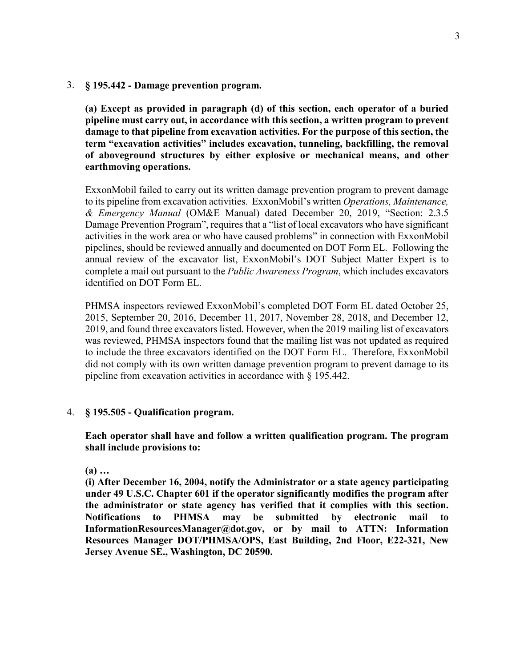3. **§ 195.442 - Damage prevention program.**

**(a) Except as provided in paragraph (d) of this section, each operator of a buried pipeline must carry out, in accordance with this section, a written program to prevent damage to that pipeline from excavation activities. For the purpose of this section, the term "excavation activities" includes excavation, tunneling, backfilling, the removal of aboveground structures by either explosive or mechanical means, and other earthmoving operations.**

ExxonMobil failed to carry out its written damage prevention program to prevent damage to its pipeline from excavation activities. ExxonMobil's written *Operations, Maintenance, & Emergency Manual* (OM&E Manual) dated December 20, 2019, "Section: 2.3.5 Damage Prevention Program", requires that a "list of local excavators who have significant activities in the work area or who have caused problems" in connection with ExxonMobil pipelines, should be reviewed annually and documented on DOT Form EL. Following the annual review of the excavator list, ExxonMobil's DOT Subject Matter Expert is to complete a mail out pursuant to the *Public Awareness Program*, which includes excavators identified on DOT Form EL.

PHMSA inspectors reviewed ExxonMobil's completed DOT Form EL dated October 25, 2015, September 20, 2016, December 11, 2017, November 28, 2018, and December 12, 2019, and found three excavators listed. However, when the 2019 mailing list of excavators was reviewed, PHMSA inspectors found that the mailing list was not updated as required to include the three excavators identified on the DOT Form EL. Therefore, ExxonMobil did not comply with its own written damage prevention program to prevent damage to its pipeline from excavation activities in accordance with § 195.442.

#### 4. **§ 195.505 - Qualification program.**

**Each operator shall have and follow a written qualification program. The program shall include provisions to:**

**(a) …**

**(i) After December 16, 2004, notify the Administrator or a state agency participating under 49 U.S.C. Chapter 601 if the operator significantly modifies the program after the administrator or state agency has verified that it complies with this section. Notifications to PHMSA may be submitted by electronic mail to InformationResourcesManager@dot.gov, or by mail to ATTN: Information Resources Manager DOT/PHMSA/OPS, East Building, 2nd Floor, E22-321, New Jersey Avenue SE., Washington, DC 20590.**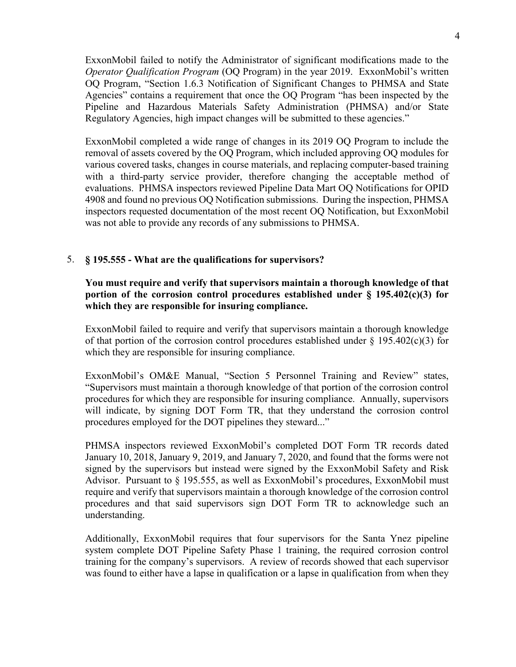ExxonMobil failed to notify the Administrator of significant modifications made to the *Operator Qualification Program* (OQ Program) in the year 2019. ExxonMobil's written OQ Program, "Section 1.6.3 Notification of Significant Changes to PHMSA and State Agencies" contains a requirement that once the OQ Program "has been inspected by the Pipeline and Hazardous Materials Safety Administration (PHMSA) and/or State Regulatory Agencies, high impact changes will be submitted to these agencies."

ExxonMobil completed a wide range of changes in its 2019 OQ Program to include the removal of assets covered by the OQ Program, which included approving OQ modules for various covered tasks, changes in course materials, and replacing computer-based training with a third-party service provider, therefore changing the acceptable method of evaluations. PHMSA inspectors reviewed Pipeline Data Mart OQ Notifications for OPID 4908 and found no previous OQ Notification submissions. During the inspection, PHMSA inspectors requested documentation of the most recent OQ Notification, but ExxonMobil was not able to provide any records of any submissions to PHMSA.

## 5. **§ 195.555 - What are the qualifications for supervisors?**

# **You must require and verify that supervisors maintain a thorough knowledge of that portion of the corrosion control procedures established under § 195.402(c)(3) for which they are responsible for insuring compliance.**

ExxonMobil failed to require and verify that supervisors maintain a thorough knowledge of that portion of the corrosion control procedures established under  $\S$  195.402(c)(3) for which they are responsible for insuring compliance.

ExxonMobil's OM&E Manual, "Section 5 Personnel Training and Review" states, "Supervisors must maintain a thorough knowledge of that portion of the corrosion control procedures for which they are responsible for insuring compliance. Annually, supervisors will indicate, by signing DOT Form TR, that they understand the corrosion control procedures employed for the DOT pipelines they steward..."

PHMSA inspectors reviewed ExxonMobil's completed DOT Form TR records dated January 10, 2018, January 9, 2019, and January 7, 2020, and found that the forms were not signed by the supervisors but instead were signed by the ExxonMobil Safety and Risk Advisor. Pursuant to § 195.555, as well as ExxonMobil's procedures, ExxonMobil must require and verify that supervisors maintain a thorough knowledge of the corrosion control procedures and that said supervisors sign DOT Form TR to acknowledge such an understanding.

Additionally, ExxonMobil requires that four supervisors for the Santa Ynez pipeline system complete DOT Pipeline Safety Phase 1 training, the required corrosion control training for the company's supervisors. A review of records showed that each supervisor was found to either have a lapse in qualification or a lapse in qualification from when they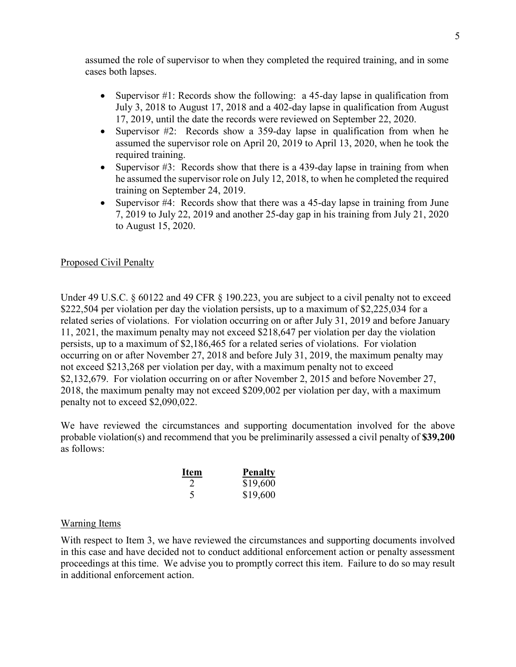assumed the role of supervisor to when they completed the required training, and in some cases both lapses.

- Supervisor #1: Records show the following: a 45-day lapse in qualification from July 3, 2018 to August 17, 2018 and a 402-day lapse in qualification from August 17, 2019, until the date the records were reviewed on September 22, 2020.
- Supervisor #2: Records show a 359-day lapse in qualification from when he assumed the supervisor role on April 20, 2019 to April 13, 2020, when he took the required training.
- Supervisor #3: Records show that there is a 439-day lapse in training from when he assumed the supervisor role on July 12, 2018, to when he completed the required training on September 24, 2019.
- Supervisor #4: Records show that there was a 45-day lapse in training from June 7, 2019 to July 22, 2019 and another 25-day gap in his training from July 21, 2020 to August 15, 2020.

## Proposed Civil Penalty

Under 49 U.S.C. § 60122 and 49 CFR § 190.223, you are subject to a civil penalty not to exceed \$222,504 per violation per day the violation persists, up to a maximum of \$2,225,034 for a related series of violations. For violation occurring on or after July 31, 2019 and before January 11, 2021, the maximum penalty may not exceed \$218,647 per violation per day the violation persists, up to a maximum of \$2,186,465 for a related series of violations. For violation occurring on or after November 27, 2018 and before July 31, 2019, the maximum penalty may not exceed \$213,268 per violation per day, with a maximum penalty not to exceed \$2,132,679. For violation occurring on or after November 2, 2015 and before November 27, 2018, the maximum penalty may not exceed \$209,002 per violation per day, with a maximum penalty not to exceed \$2,090,022.

We have reviewed the circumstances and supporting documentation involved for the above probable violation(s) and recommend that you be preliminarily assessed a civil penalty of **\$39,200** as follows:

| <b>Item</b>                 | <b>Penalty</b> |
|-----------------------------|----------------|
| $\mathcal{D}_{\mathcal{L}}$ | \$19,600       |
| 5                           | \$19,600       |

## Warning Items

With respect to Item 3, we have reviewed the circumstances and supporting documents involved in this case and have decided not to conduct additional enforcement action or penalty assessment proceedings at this time. We advise you to promptly correct this item. Failure to do so may result in additional enforcement action.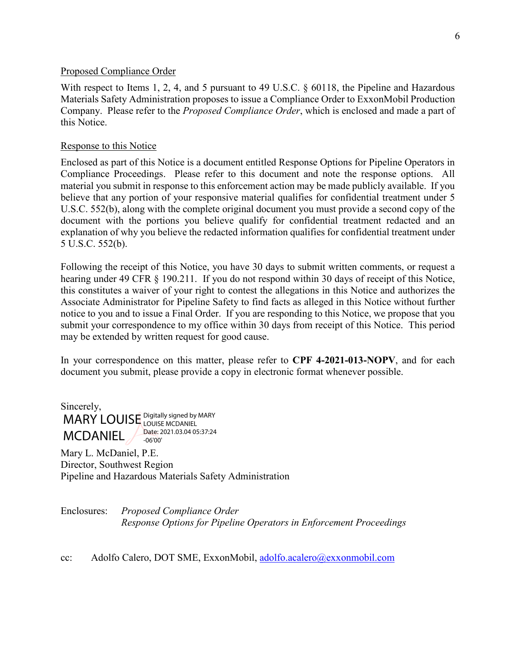#### Proposed Compliance Order

With respect to Items 1, 2, 4, and 5 pursuant to 49 U.S.C. § 60118, the Pipeline and Hazardous Materials Safety Administration proposes to issue a Compliance Order to ExxonMobil Production Company. Please refer to the *Proposed Compliance Order*, which is enclosed and made a part of this Notice.

## Response to this Notice

Enclosed as part of this Notice is a document entitled Response Options for Pipeline Operators in Compliance Proceedings. Please refer to this document and note the response options. All material you submit in response to this enforcement action may be made publicly available. If you believe that any portion of your responsive material qualifies for confidential treatment under 5 U.S.C. 552(b), along with the complete original document you must provide a second copy of the document with the portions you believe qualify for confidential treatment redacted and an explanation of why you believe the redacted information qualifies for confidential treatment under 5 U.S.C. 552(b).

Following the receipt of this Notice, you have 30 days to submit written comments, or request a hearing under 49 CFR § 190.211. If you do not respond within 30 days of receipt of this Notice, this constitutes a waiver of your right to contest the allegations in this Notice and authorizes the Associate Administrator for Pipeline Safety to find facts as alleged in this Notice without further notice to you and to issue a Final Order. If you are responding to this Notice, we propose that you submit your correspondence to my office within 30 days from receipt of this Notice. This period may be extended by written request for good cause.

In your correspondence on this matter, please refer to **CPF 4-2021-013-NOPV**, and for each document you submit, please provide a copy in electronic format whenever possible.

Sincerely, MARY LOUISE Digitally signed by MARY **MCDANIEL** LOUISE MCDANIEL Date: 2021.03.04 05:37:24 -06'00'

Mary L. McDaniel, P.E. Director, Southwest Region Pipeline and Hazardous Materials Safety Administration

Enclosures: *Proposed Compliance Order Response Options for Pipeline Operators in Enforcement Proceedings*

cc: Adolfo Calero, DOT SME, ExxonMobil, [adolfo.acalero@exxonmobil.com](mailto:adolfo.acalero@exxonmobil.com)